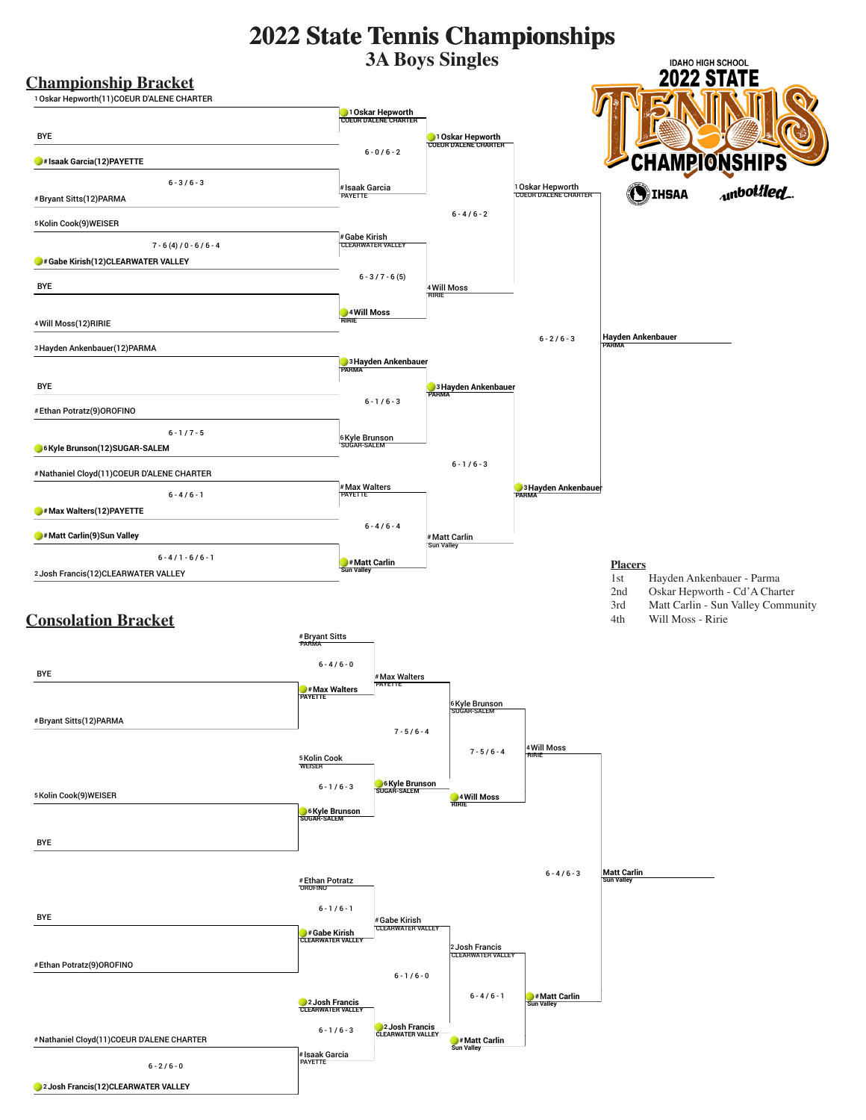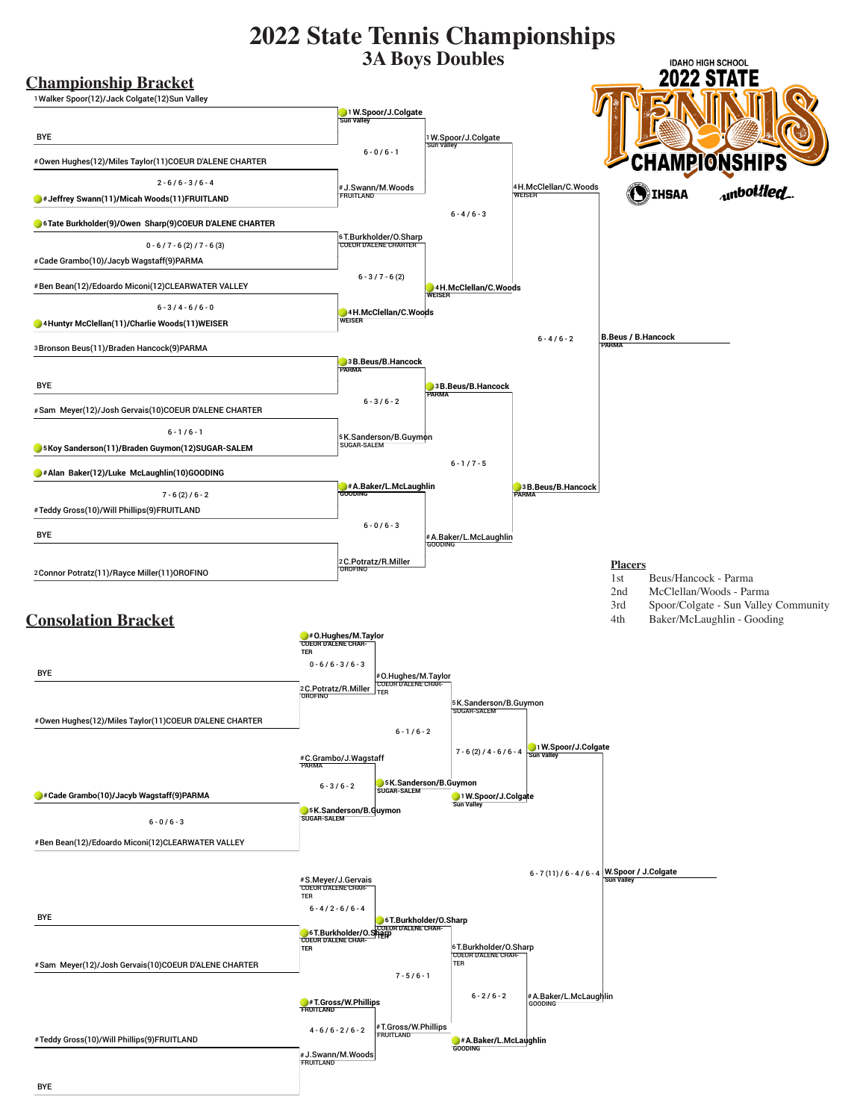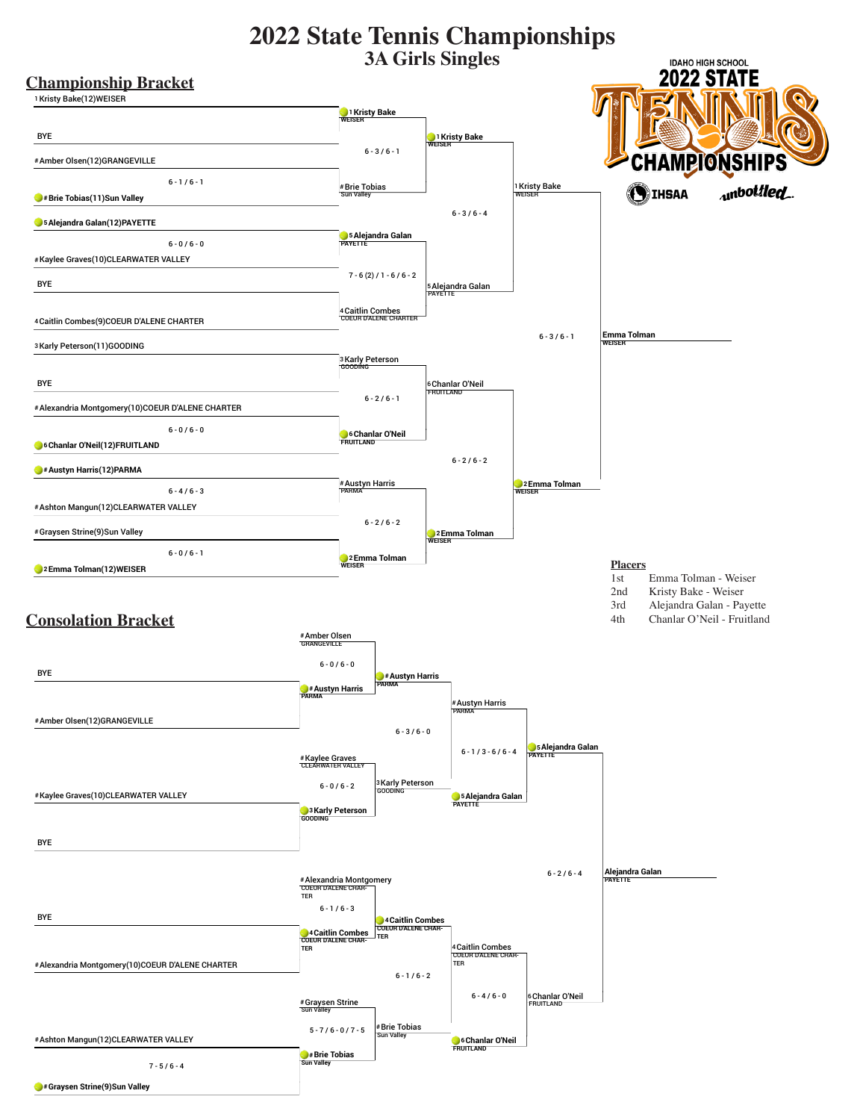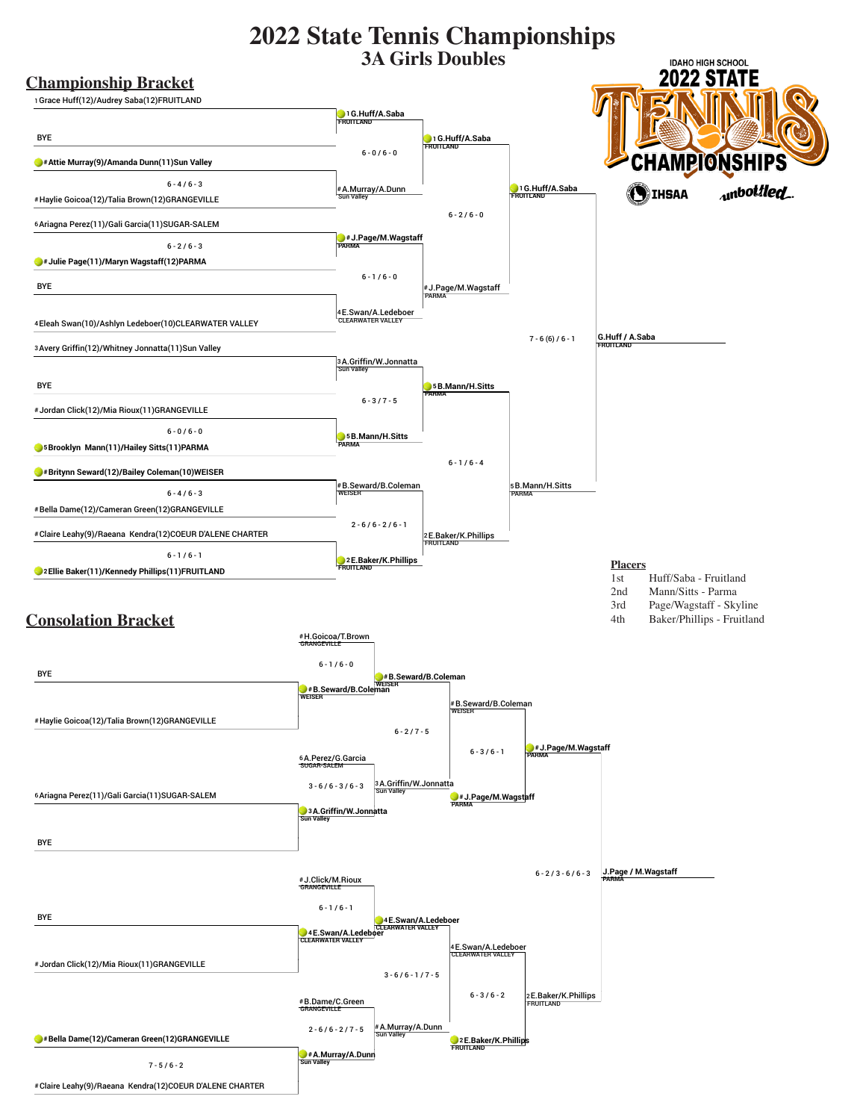